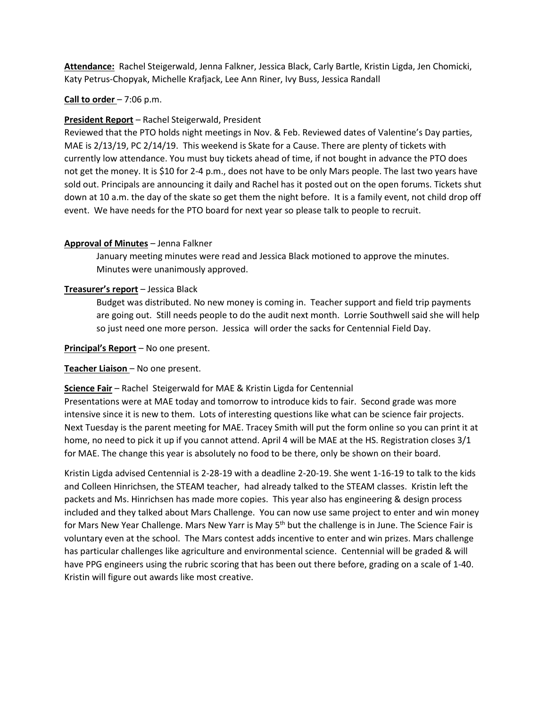**Attendance:** Rachel Steigerwald, Jenna Falkner, Jessica Black, Carly Bartle, Kristin Ligda, Jen Chomicki, Katy Petrus-Chopyak, Michelle Krafjack, Lee Ann Riner, Ivy Buss, Jessica Randall

### **Call to order** – 7:06 p.m.

### **President Report** – Rachel Steigerwald, President

Reviewed that the PTO holds night meetings in Nov. & Feb. Reviewed dates of Valentine's Day parties, MAE is 2/13/19, PC 2/14/19. This weekend is Skate for a Cause. There are plenty of tickets with currently low attendance. You must buy tickets ahead of time, if not bought in advance the PTO does not get the money. It is \$10 for 2-4 p.m., does not have to be only Mars people. The last two years have sold out. Principals are announcing it daily and Rachel has it posted out on the open forums. Tickets shut down at 10 a.m. the day of the skate so get them the night before. It is a family event, not child drop off event. We have needs for the PTO board for next year so please talk to people to recruit.

## **Approval of Minutes** – Jenna Falkner

January meeting minutes were read and Jessica Black motioned to approve the minutes. Minutes were unanimously approved.

## **Treasurer's report** – Jessica Black

Budget was distributed. No new money is coming in. Teacher support and field trip payments are going out. Still needs people to do the audit next month. Lorrie Southwell said she will help so just need one more person. Jessica will order the sacks for Centennial Field Day.

**Principal's Report** – No one present.

#### **Teacher Liaison** – No one present.

#### **Science Fair** – Rachel Steigerwald for MAE & Kristin Ligda for Centennial

Presentations were at MAE today and tomorrow to introduce kids to fair. Second grade was more intensive since it is new to them. Lots of interesting questions like what can be science fair projects. Next Tuesday is the parent meeting for MAE. Tracey Smith will put the form online so you can print it at home, no need to pick it up if you cannot attend. April 4 will be MAE at the HS. Registration closes 3/1 for MAE. The change this year is absolutely no food to be there, only be shown on their board.

Kristin Ligda advised Centennial is 2-28-19 with a deadline 2-20-19. She went 1-16-19 to talk to the kids and Colleen Hinrichsen, the STEAM teacher, had already talked to the STEAM classes. Kristin left the packets and Ms. Hinrichsen has made more copies. This year also has engineering & design process included and they talked about Mars Challenge. You can now use same project to enter and win money for Mars New Year Challenge. Mars New Yarr is May 5<sup>th</sup> but the challenge is in June. The Science Fair is voluntary even at the school. The Mars contest adds incentive to enter and win prizes. Mars challenge has particular challenges like agriculture and environmental science. Centennial will be graded & will have PPG engineers using the rubric scoring that has been out there before, grading on a scale of 1-40. Kristin will figure out awards like most creative.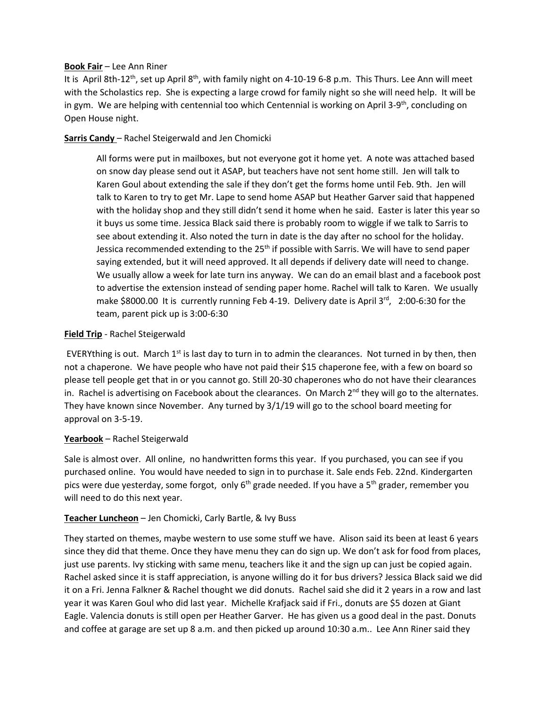### **Book Fair** – Lee Ann Riner

It is April 8th-12<sup>th</sup>, set up April 8<sup>th</sup>, with family night on 4-10-19 6-8 p.m. This Thurs. Lee Ann will meet with the Scholastics rep. She is expecting a large crowd for family night so she will need help. It will be in gym. We are helping with centennial too which Centennial is working on April 3-9<sup>th</sup>, concluding on Open House night.

# **Sarris Candy** – Rachel Steigerwald and Jen Chomicki

All forms were put in mailboxes, but not everyone got it home yet. A note was attached based on snow day please send out it ASAP, but teachers have not sent home still. Jen will talk to Karen Goul about extending the sale if they don't get the forms home until Feb. 9th. Jen will talk to Karen to try to get Mr. Lape to send home ASAP but Heather Garver said that happened with the holiday shop and they still didn't send it home when he said. Easter is later this year so it buys us some time. Jessica Black said there is probably room to wiggle if we talk to Sarris to see about extending it. Also noted the turn in date is the day after no school for the holiday. Jessica recommended extending to the  $25<sup>th</sup>$  if possible with Sarris. We will have to send paper saying extended, but it will need approved. It all depends if delivery date will need to change. We usually allow a week for late turn ins anyway. We can do an email blast and a facebook post to advertise the extension instead of sending paper home. Rachel will talk to Karen. We usually make \$8000.00 It is currently running Feb 4-19. Delivery date is April 3rd, 2:00-6:30 for the team, parent pick up is 3:00-6:30

# **Field Trip** - Rachel Steigerwald

EVERYthing is out. March  $1<sup>st</sup>$  is last day to turn in to admin the clearances. Not turned in by then, then not a chaperone. We have people who have not paid their \$15 chaperone fee, with a few on board so please tell people get that in or you cannot go. Still 20-30 chaperones who do not have their clearances in. Rachel is advertising on Facebook about the clearances. On March 2<sup>nd</sup> they will go to the alternates. They have known since November. Any turned by 3/1/19 will go to the school board meeting for approval on 3-5-19.

# **Yearbook** – Rachel Steigerwald

Sale is almost over. All online, no handwritten forms this year. If you purchased, you can see if you purchased online. You would have needed to sign in to purchase it. Sale ends Feb. 22nd. Kindergarten pics were due yesterday, some forgot, only  $6<sup>th</sup>$  grade needed. If you have a  $5<sup>th</sup>$  grader, remember you will need to do this next year.

# **Teacher Luncheon** – Jen Chomicki, Carly Bartle, & Ivy Buss

They started on themes, maybe western to use some stuff we have. Alison said its been at least 6 years since they did that theme. Once they have menu they can do sign up. We don't ask for food from places, just use parents. Ivy sticking with same menu, teachers like it and the sign up can just be copied again. Rachel asked since it is staff appreciation, is anyone willing do it for bus drivers? Jessica Black said we did it on a Fri. Jenna Falkner & Rachel thought we did donuts. Rachel said she did it 2 years in a row and last year it was Karen Goul who did last year. Michelle Krafjack said if Fri., donuts are \$5 dozen at Giant Eagle. Valencia donuts is still open per Heather Garver. He has given us a good deal in the past. Donuts and coffee at garage are set up 8 a.m. and then picked up around 10:30 a.m.. Lee Ann Riner said they